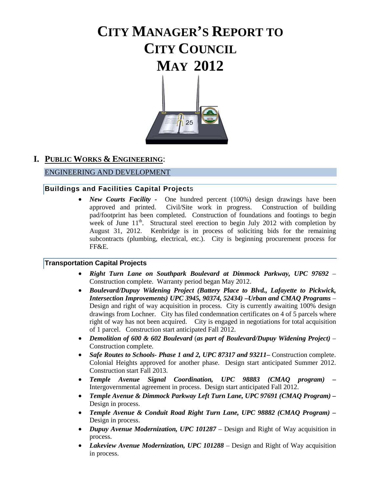# **CITY MANAGER'S REPORT TO CITY COUNCIL MAY 2012**



# **I. PUBLIC WORKS & ENGINEERING**:

#### ENGINEERING AND DEVELOPMENT

#### **Buildings and Facilities Capital Project**s

• *New Courts Facility* - One hundred percent (100%) design drawings have been approved and printed. Civil/Site work in progress. Construction of building pad/footprint has been completed. Construction of foundations and footings to begin week of June  $11<sup>th</sup>$ . Structural steel erection to begin July 2012 with completion by August 31, 2012. Kenbridge is in process of soliciting bids for the remaining subcontracts (plumbing, electrical, etc.). City is beginning procurement process for FF&E.

#### **Transportation Capital Projects**

- *Right Turn Lane on Southpark Boulevard at Dimmock Parkway, UPC 97692* Construction complete. Warranty period began May 2012.
- *Boulevard/Dupuy Widening Project (Battery Place to Blvd., Lafayette to Pickwick, Intersection Improvements) UPC 3945, 90374, 52434) –Urban and CMAQ Programs* – Design and right of way acquisition in process. City is currently awaiting 100% design drawings from Lochner. City has filed condemnation certificates on 4 of 5 parcels where right of way has not been acquired. City is engaged in negotiations for total acquisition of 1 parcel. Construction start anticipated Fall 2012.
- *Demolition of 600 & 602 Boulevard* (*as part of Boulevard/Dupuy Widening Project)* Construction complete.
- *Safe Routes to Schools- Phase 1 and 2, UPC 87317 and 93211***–** Construction complete. Colonial Heights approved for another phase. Design start anticipated Summer 2012. Construction start Fall 2013.
- *Temple Avenue Signal Coordination, UPC 98883 (CMAQ program) –* Intergovernmental agreement in process. Design start anticipated Fall 2012.
- *Temple Avenue & Dimmock Parkway Left Turn Lane, UPC 97691 (CMAQ Program) –* Design in process.
- *Temple Avenue & Conduit Road Right Turn Lane, UPC 98882 (CMAQ Program) –* Design in process.
- *Dupuy Avenue Modernization, UPC 101287*  Design and Right of Way acquisition in process.
- *Lakeview Avenue Modernization, UPC 101288* Design and Right of Way acquisition in process.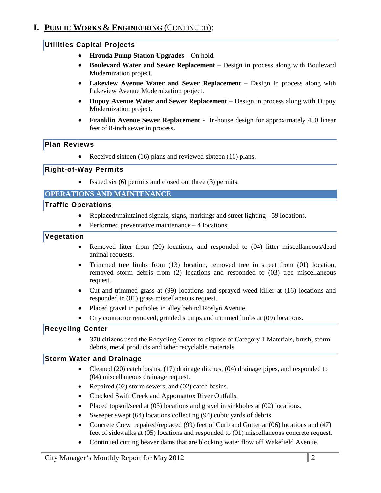# **I. PUBLIC WORKS & ENGINEERING** (CONTINUED):

#### **Utilities Capital Projects**

- **Hrouda Pump Station Upgrades**  On hold.
- **Boulevard Water and Sewer Replacement**  Design in process along with Boulevard Modernization project.
- Lakeview Avenue Water and Sewer Replacement Design in process along with Lakeview Avenue Modernization project.
- **Dupuy Avenue Water and Sewer Replacement**  Design in process along with Dupuy Modernization project.
- **Franklin Avenue Sewer Replacement**  In-house design for approximately 450 linear feet of 8-inch sewer in process.

#### **Plan Reviews**

• Received sixteen (16) plans and reviewed sixteen (16) plans.

#### **Right-of-Way Permits**

• Issued six (6) permits and closed out three (3) permits.

#### **OPERATIONS AND MAINTENANCE**

#### **Traffic Operations**

- Replaced/maintained signals, signs, markings and street lighting 59 locations.
- Performed preventative maintenance 4 locations.

#### **Vegetation**

- Removed litter from (20) locations, and responded to (04) litter miscellaneous/dead animal requests.
- Trimmed tree limbs from (13) location, removed tree in street from (01) location, removed storm debris from (2) locations and responded to (03) tree miscellaneous request.
- Cut and trimmed grass at (99) locations and sprayed weed killer at (16) locations and responded to (01) grass miscellaneous request.
- Placed gravel in potholes in alley behind Roslyn Avenue.
- City contractor removed, grinded stumps and trimmed limbs at (09) locations.

#### **Recycling Center**

• 370 citizens used the Recycling Center to dispose of Category 1 Materials, brush, storm debris, metal products and other recyclable materials.

#### **Storm Water and Drainage**

- Cleaned (20) catch basins, (17) drainage ditches, (04) drainage pipes, and responded to (04) miscellaneous drainage request.
- Repaired (02) storm sewers, and (02) catch basins.
- Checked Swift Creek and Appomattox River Outfalls.
- Placed topsoil/seed at (03) locations and gravel in sinkholes at (02) locations.
- Sweeper swept (64) locations collecting (94) cubic yards of debris.
- Concrete Crew repaired/replaced (99) feet of Curb and Gutter at (06) locations and (47) feet of sidewalks at (05) locations and responded to (01) miscellaneous concrete request.
- Continued cutting beaver dams that are blocking water flow off Wakefield Avenue.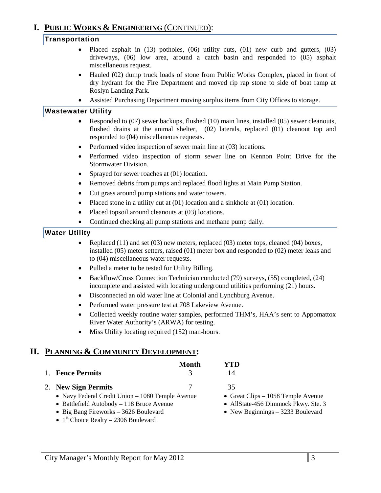# **I. PUBLIC WORKS & ENGINEERING** (CONTINUED):

#### **Transportation**

- Placed asphalt in (13) potholes, (06) utility cuts, (01) new curb and gutters, (03) driveways, (06) low area, around a catch basin and responded to (05) asphalt miscellaneous request.
- Hauled (02) dump truck loads of stone from Public Works Complex, placed in front of dry hydrant for the Fire Department and moved rip rap stone to side of boat ramp at Roslyn Landing Park.
- Assisted Purchasing Department moving surplus items from City Offices to storage.

#### **Wastewater Utility**

- Responded to (07) sewer backups, flushed (10) main lines, installed (05) sewer cleanouts, flushed drains at the animal shelter, (02) laterals, replaced (01) cleanout top and responded to (04) miscellaneous requests.
- Performed video inspection of sewer main line at (03) locations.
- Performed video inspection of storm sewer line on Kennon Point Drive for the Stormwater Division.
- Sprayed for sewer roaches at (01) location.
- Removed debris from pumps and replaced flood lights at Main Pump Station.
- Cut grass around pump stations and water towers.
- Placed stone in a utility cut at (01) location and a sinkhole at (01) location.
- Placed topsoil around cleanouts at (03) locations.
- Continued checking all pump stations and methane pump daily.

### **Water Utility**

- Replaced (11) and set (03) new meters, replaced (03) meter tops, cleaned (04) boxes, installed (05) meter setters, raised (01) meter box and responded to (02) meter leaks and to (04) miscellaneous water requests.
- Pulled a meter to be tested for Utility Billing.
- Backflow/Cross Connection Technician conducted (79) surveys, (55) completed, (24) incomplete and assisted with locating underground utilities performing (21) hours.
- Disconnected an old water line at Colonial and Lynchburg Avenue.
- Performed water pressure test at 708 Lakeview Avenue.
- Collected weekly routine water samples, performed THM's, HAA's sent to Appomattox River Water Authority's (ARWA) for testing.
- Miss Utility locating required (152) man-hours.

### **II. PLANNING & COMMUNITY DEVELOPMENT:**

|                                                  | Month         | YTD |
|--------------------------------------------------|---------------|-----|
| 1. Fence Permits                                 |               | 14  |
| 2. New Sign Permits                              |               | 35  |
| • Navy Federal Credit Union – 1080 Temple Avenue | • Great Clips |     |

- Battlefield Autobody 118 Bruce Avenue AllState-456 Dimmock Pkwy. Ste. 3
- Big Bang Fireworks 3626 Boulevard New Beginnings 3233 Boulevard
- $1<sup>st</sup>$  Choice Realty 2306 Boulevard
- $-1058$  Temple Avenue
-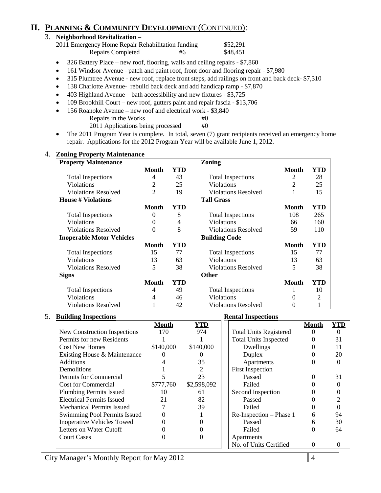# **II. PLANNING & COMMUNITY DEVELOPMENT** (CONTINUED):

| 3. Neighborhood Revitalization -                  |    |          |
|---------------------------------------------------|----|----------|
| 2011 Emergency Home Repair Rehabilitation funding |    | \$52,291 |
| Repairs Completed                                 | #6 | \$48.451 |

- 326 Battery Place new roof, flooring, walls and ceiling repairs \$7,860
- 161 Windsor Avenue patch and paint roof, front door and flooring repair \$7,980
- 315 Plumtree Avenue new roof, replace front steps, add railings on front and back deck- \$7,310
- 138 Charlotte Avenue- rebuild back deck and add handicap ramp \$7,870
- 403 Highland Avenue bath accessibility and new fixtures \$3,725
- 109 Brookhill Court new roof, gutters paint and repair fascia \$13,706
- 156 Roanoke Avenue new roof and electrical work \$3,840<br>Repairs in the Works #0 Repairs in the Works
	- 2011 Applications being processed #0
- The 2011 Program Year is complete. In total, seven (7) grant recipients received an emergency home repair. Applications for the 2012 Program Year will be available June 1, 2012.

| <b>Property Maintenance</b>      |                |            | Zoning                     |                |                |
|----------------------------------|----------------|------------|----------------------------|----------------|----------------|
|                                  | <b>Month</b>   | <b>YTD</b> |                            | <b>Month</b>   | YTD            |
| <b>Total Inspections</b>         | 4              | 43         | <b>Total Inspections</b>   | 2              | 28             |
| Violations                       | $\overline{2}$ | 25         | Violations                 | $\overline{2}$ | 25             |
| <b>Violations Resolved</b>       | $\overline{2}$ | 19         | <b>Violations Resolved</b> |                | 15             |
| <b>House # Violations</b>        |                |            | <b>Tall Grass</b>          |                |                |
|                                  | Month          | <b>YTD</b> |                            | <b>Month</b>   | YTD            |
| <b>Total Inspections</b>         | $\overline{0}$ | 8          | <b>Total Inspections</b>   | 108            | 265            |
| Violations                       | 0              | 4          | Violations                 | 66             | 160            |
| <b>Violations Resolved</b>       | $\theta$       | 8          | <b>Violations Resolved</b> | 59             | 110            |
| <b>Inoperable Motor Vehicles</b> |                |            | <b>Building Code</b>       |                |                |
|                                  | Month          | <b>YTD</b> |                            | <b>Month</b>   | <b>YTD</b>     |
| <b>Total Inspections</b>         | 15             | 77         | <b>Total Inspections</b>   | 15             | 77             |
| Violations                       | 13             | 63         | Violations                 | 13             | 63             |
| <b>Violations Resolved</b>       | 5              | 38         | <b>Violations Resolved</b> | 5              | 38             |
| <b>Signs</b>                     |                |            | <b>Other</b>               |                |                |
|                                  | <b>Month</b>   | <b>YTD</b> |                            | <b>Month</b>   | <b>YTD</b>     |
| <b>Total Inspections</b>         | 4              | 49         | <b>Total Inspections</b>   | 1              | 10             |
| Violations                       | 4              | 46         | Violations                 |                | $\overline{2}$ |
| <b>Violations Resolved</b>       |                | 42         | <b>Violations Resolved</b> | 0              |                |

#### 5. **Building Inspections Rental Inspections**

| Danamg mopeenom                   |           |             | IWANGA ANDPECHOND             |        |          |
|-----------------------------------|-----------|-------------|-------------------------------|--------|----------|
|                                   | Month     | YTD         |                               | Month  | YTD      |
| New Construction Inspections      | 170       | 974         | <b>Total Units Registered</b> |        | $\Omega$ |
| Permits for new Residents         |           |             | <b>Total Units Inspected</b>  |        | 31       |
| <b>Cost New Homes</b>             | \$140,000 | \$140,000   | Dwellings                     |        | 11       |
| Existing House & Maintenance      |           |             | Duplex                        |        | 20       |
| <b>Additions</b>                  |           | 35          | Apartments                    |        |          |
| Demolitions                       |           |             | <b>First Inspection</b>       |        |          |
| Permits for Commercial            |           | 23          | Passed                        |        | 31       |
| <b>Cost for Commercial</b>        | \$777,760 | \$2,598,092 | Failed                        |        |          |
| <b>Plumbing Permits Issued</b>    | 10        | 61          | Second Inspection             |        |          |
| <b>Electrical Permits Issued</b>  | 21        | 82          | Passed                        |        |          |
| <b>Mechanical Permits Issued</b>  |           | 39          | Failed                        |        |          |
| Swimming Pool Permits Issued      |           |             | Re-Inspection – Phase 1       | 6      | 94       |
| <b>Inoperative Vehicles Towed</b> |           |             | Passed                        |        | 30       |
| Letters on Water Cutoff           |           |             | Failed                        | $_{0}$ | 64       |
| <b>Court Cases</b>                |           |             | Apartments                    |        |          |
|                                   |           |             | No. of Units Certified        |        |          |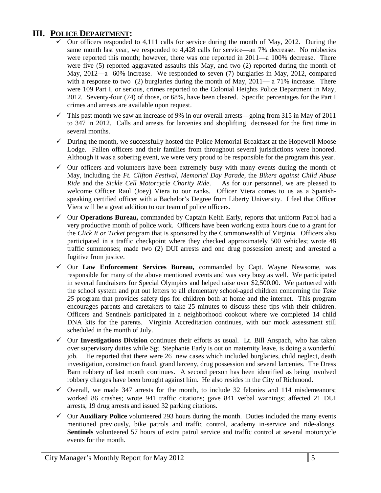# **III. POLICE DEPARTMENT:**

- $\checkmark$  Our officers responded to 4,111 calls for service during the month of May, 2012. During the same month last year, we responded to 4,428 calls for service—an 7% decrease. No robberies were reported this month; however, there was one reported in 2011—a 100% decrease. There were five (5) reported aggravated assaults this May, and two (2) reported during the month of May, 2012—a 60% increase. We responded to seven (7) burglaries in May, 2012, compared with a response to two  $(2)$  burglaries during the month of May,  $2011 - a$  71% increase. There were 109 Part I, or serious, crimes reported to the Colonial Heights Police Department in May, 2012. Seventy-four (74) of those, or 68%, have been cleared. Specific percentages for the Part I crimes and arrests are available upon request.
- $\checkmark$  This past month we saw an increase of 9% in our overall arrests—going from 315 in May of 2011 to 347 in 2012. Calls and arrests for larcenies and shoplifting decreased for the first time in several months.
- $\checkmark$  During the month, we successfully hosted the Police Memorial Breakfast at the Hopewell Moose Lodge. Fallen officers and their families from throughout several jurisdictions were honored. Although it was a sobering event, we were very proud to be responsible for the program this year.
- $\checkmark$  Our officers and volunteers have been extremely busy with many events during the month of May, including the *Ft. Clifton Festival, Memorial Day Parade*, the *Bikers against Child Abuse Ride* and the *Sickle Cell Motorcycle Charity Ride*. As for our personnel, we are pleased to welcome Officer Raul (Joey) Viera to our ranks. Officer Viera comes to us as a Spanishspeaking certified officer with a Bachelor's Degree from Liberty University. I feel that Officer Viera will be a great addition to our team of police officers.
- Our **Operations Bureau,** commanded by Captain Keith Early, reports that uniform Patrol had a very productive month of police work. Officers have been working extra hours due to a grant for the *Click It or Ticket* program that is sponsored by the Commonwealth of Virginia. Officers also participated in a traffic checkpoint where they checked approximately 500 vehicles; wrote 48 traffic summonses; made two (2) DUI arrests and one drug possession arrest; and arrested a fugitive from justice.
- Our **Law Enforcement Services Bureau,** commanded by Capt. Wayne Newsome, was responsible for many of the above mentioned events and was very busy as well. We participated in several fundraisers for Special Olympics and helped raise over \$2,500.00. We partnered with the school system and put out letters to all elementary school-aged children concerning the *Take 25* program that provides safety tips for children both at home and the internet. This program encourages parents and caretakers to take 25 minutes to discuss these tips with their children. Officers and Sentinels participated in a neighborhood cookout where we completed 14 child DNA kits for the parents. Virginia Accreditation continues, with our mock assessment still scheduled in the month of July.
- Our **Investigations Division** continues their efforts as usual. Lt. Bill Anspach, who has taken over supervisory duties while Sgt. Stephanie Early is out on maternity leave, is doing a wonderful job. He reported that there were 26 new cases which included burglaries, child neglect, death investigation, construction fraud, grand larceny, drug possession and several larcenies. The Dress Barn robbery of last month continues. A second person has been identified as being involved robbery charges have been brought against him. He also resides in the City of Richmond.
- $\checkmark$  Overall, we made 347 arrests for the month, to include 32 felonies and 114 misdemeanors; worked 86 crashes; wrote 941 traffic citations; gave 841 verbal warnings; affected 21 DUI arrests, 19 drug arrests and issued 32 parking citations.
- $\checkmark$  Our **Auxiliary Police** volunteered 293 hours during the month. Duties included the many events mentioned previously, bike patrols and traffic control, academy in-service and ride-alongs. **Sentinels** volunteered 57 hours of extra patrol service and traffic control at several motorcycle events for the month.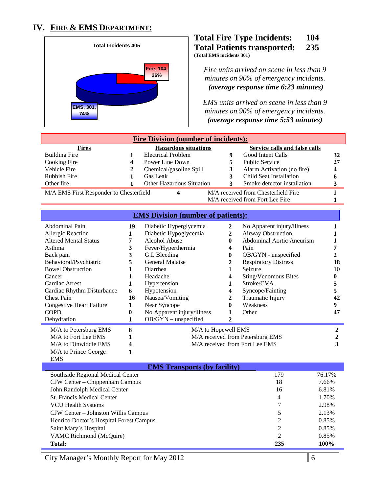# **IV. FIRE & EMS DEPARTMENT:**



#### **Total Fire Type Incidents: 104 Total Patients transported: 235 (Total EMS incidents 301)**

*Fire units arrived on scene in less than 9 minutes on 90% of emergency incidents. (average response time 6:23 minutes)* 

*EMS units arrived on scene in less than 9 minutes on 90% of emergency incidents. <sup>U</sup>(average response time 5:53 minutes)*

| <b>Fire Division (number of incidents):</b>                                                                                                                                                                                                                                                      |                                                                                                   |                                                                                                                                                                                                                                                                                   |                                                                                                         |                                                                                                                                                                                                                                                                          |                                                    |  |
|--------------------------------------------------------------------------------------------------------------------------------------------------------------------------------------------------------------------------------------------------------------------------------------------------|---------------------------------------------------------------------------------------------------|-----------------------------------------------------------------------------------------------------------------------------------------------------------------------------------------------------------------------------------------------------------------------------------|---------------------------------------------------------------------------------------------------------|--------------------------------------------------------------------------------------------------------------------------------------------------------------------------------------------------------------------------------------------------------------------------|----------------------------------------------------|--|
| <b>Fires</b><br><b>Building Fire</b><br>Cooking Fire<br>Vehicle Fire<br><b>Rubbish Fire</b><br>Other fire                                                                                                                                                                                        | 1<br>4<br>2<br>1<br>1                                                                             | <b>Hazardous situations</b><br><b>Electrical Problem</b><br>Power Line Down<br>Chemical/gasoline Spill<br>Gas Leak<br>Other Hazardous Situation                                                                                                                                   | 9<br>5<br>3<br>3<br>3                                                                                   | <b>Service calls and false calls</b><br>Good Intent Calls<br><b>Public Service</b><br>Alarm Activation (no fire)<br>Child Seat Installation<br>Smoke detector installation                                                                                               | 32<br>27<br>4<br>6<br>3                            |  |
| M/A EMS First Responder to Chesterfield                                                                                                                                                                                                                                                          |                                                                                                   | 4                                                                                                                                                                                                                                                                                 |                                                                                                         | M/A received from Chesterfield Fire<br>M/A received from Fort Lee Fire                                                                                                                                                                                                   | 1<br>1                                             |  |
|                                                                                                                                                                                                                                                                                                  |                                                                                                   | <b>EMS Division (number of patients):</b>                                                                                                                                                                                                                                         |                                                                                                         |                                                                                                                                                                                                                                                                          |                                                    |  |
| Abdominal Pain<br>Allergic Reaction<br><b>Altered Mental Status</b><br>Asthma<br>Back pain<br>Behavioral/Psychiatric<br><b>Bowel Obstruction</b><br>Cancer<br>Cardiac Arrest<br>Cardiac Rhythm Disturbance<br><b>Chest Pain</b><br><b>Congestive Heart Failure</b><br><b>COPD</b><br>Dehydration | 19<br>1<br>7<br>3<br>$\overline{\mathbf{3}}$<br>5<br>1<br>1<br>1<br>6<br>16<br>1<br>$\bf{0}$<br>1 | Diabetic Hyperglycemia<br>Diabetic Hypoglycemia<br>Alcohol Abuse<br>Fever/Hyperthermia<br>G.I. Bleeding<br><b>General Malaise</b><br>Diarrhea<br>Headache<br>Hypertension<br>Hypotension<br>Nausea/Vomiting<br>Near Syncope<br>No Apparent injury/illness<br>OB/GYN - unspecified | $\overline{2}$<br>$\mathbf{2}$<br>0<br>4<br>0<br>2<br>1<br>4<br>1<br>4<br>2<br>0<br>1<br>$\overline{2}$ | No Apparent injury/illness<br>Airway Obstruction<br><b>Abdominal Aortic Aneurism</b><br>Pain<br>OB/GYN - unspecified<br><b>Respiratory Distress</b><br>Seizure<br><b>Sting/Venomous Bites</b><br>Stroke/CVA<br>Syncope/Fainting<br>Traumatic Injury<br>Weakness<br>Other | 7<br>2<br>18<br>10<br>0<br>5<br>5<br>42<br>9<br>47 |  |
| M/A to Petersburg EMS<br>M/A to Fort Lee EMS<br>M/A to Dinwiddie EMS<br>M/A to Prince George<br><b>EMS</b>                                                                                                                                                                                       | 8<br>1<br>4<br>1                                                                                  | M/A to Hopewell EMS                                                                                                                                                                                                                                                               |                                                                                                         | M/A received from Petersburg EMS<br>M/A received from Fort Lee EMS                                                                                                                                                                                                       | $\boldsymbol{2}$<br>2<br>3                         |  |

| <b>EMS Transports (by facility)</b>     |                |        |  |  |
|-----------------------------------------|----------------|--------|--|--|
| Southside Regional Medical Center       | 179            | 76.17% |  |  |
| CJW Center – Chippenham Campus          | 18             | 7.66%  |  |  |
| John Randolph Medical Center            | 16             | 6.81%  |  |  |
| <b>St. Francis Medical Center</b>       | 4              | 1.70%  |  |  |
| <b>VCU Health Systems</b>               | 7              | 2.98%  |  |  |
| CJW Center – Johnston Willis Campus     | 5              | 2.13%  |  |  |
| Henrico Doctor's Hospital Forest Campus | 2              | 0.85%  |  |  |
| Saint Mary's Hospital                   | 2              | 0.85%  |  |  |
| VAMC Richmond (McQuire)                 | $\overline{c}$ | 0.85%  |  |  |
| <b>Total:</b>                           | 235            | 100%   |  |  |

City Manager's Monthly Report for May 2012 6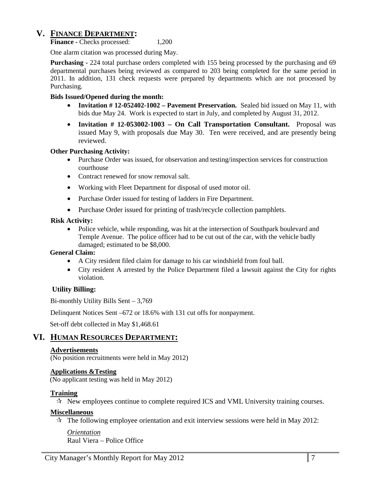### **V. FINANCE DEPARTMENT:**

**Finance -** Checks processed: 1,200

One alarm citation was processed during May.

**Purchasing -** 224 total purchase orders completed with 155 being processed by the purchasing and 69 departmental purchases being reviewed as compared to 203 being completed for the same period in 2011. In addition, 131 check requests were prepared by departments which are not processed by Purchasing.

#### **Bids Issued/Opened during the month:**

- **Invitation # 12-052402-1002 – Pavement Preservation.** Sealed bid issued on May 11, with bids due May 24. Work is expected to start in July, and completed by August 31, 2012.
- **Invitation # 12-053002-1003 – On Call Transportation Consultant.** Proposal was issued May 9, with proposals due May 30. Ten were received, and are presently being reviewed.

#### **Other Purchasing Activity:**

- Purchase Order was issued, for observation and testing/inspection services for construction courthouse
- Contract renewed for snow removal salt.
- Working with Fleet Department for disposal of used motor oil.
- Purchase Order issued for testing of ladders in Fire Department.
- Purchase Order issued for printing of trash/recycle collection pamphlets.

#### **Risk Activity:**

• Police vehicle, while responding, was hit at the intersection of Southpark boulevard and Temple Avenue. The police officer had to be cut out of the car, with the vehicle badly damaged; estimated to be \$8,000.

#### **General Claim:**

- A City resident filed claim for damage to his car windshield from foul ball.
- City resident A arrested by the Police Department filed a lawsuit against the City for rights violation.

#### **Utility Billing:**

Bi-monthly Utility Bills Sent – 3,769

Delinquent Notices Sent –672 or 18.6% with 131 cut offs for nonpayment.

Set-off debt collected in May \$1,468.61

### **VI. HUMAN RESOURCES DEPARTMENT:**

#### **Advertisements**

(No position recruitments were held in May 2012)

#### **Applications &Testing**

(No applicant testing was held in May 2012)

#### **Training**

 $\mathcal{R}$  New employees continue to complete required ICS and VML University training courses.

#### **Miscellaneous**

 $\star$  The following employee orientation and exit interview sessions were held in May 2012:

*Orientation*

Raul Viera – Police Office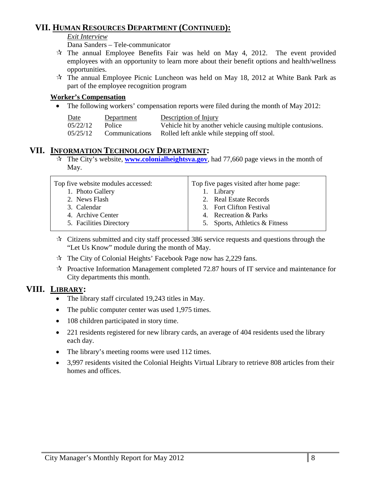# **VII. HUMAN RESOURCES DEPARTMENT (CONTINUED):**

#### *Exit Interview*

Dana Sanders – Tele-communicator

- $\mathcal{R}$  The annual Employee Benefits Fair was held on May 4, 2012. The event provided employees with an opportunity to learn more about their benefit options and health/wellness opportunities.
- $\mathcal{R}$  The annual Employee Picnic Luncheon was held on May 18, 2012 at White Bank Park as part of the employee recognition program

#### **Worker's Compensation**

• The following workers' compensation reports were filed during the month of May 2012:

| Date     | Department     | Description of Injury                                       |
|----------|----------------|-------------------------------------------------------------|
| 05/22/12 | Police         | Vehicle hit by another vehicle causing multiple contusions. |
| 05/25/12 | Communications | Rolled left ankle while stepping off stool.                 |

# **VII. INFORMATION TECHNOLOGY DEPARTMENT:**

 The City's website, **[www.colonialheightsva.gov](http://www.colonialheightsva.gov/)**, had 77,660 page views in the month of May.

| Top five website modules accessed: | Top five pages visited after home page: |
|------------------------------------|-----------------------------------------|
| 1. Photo Gallery                   | 1. Library                              |
| 2. News Flash                      | 2. Real Estate Records                  |
| 3. Calendar                        | 3. Fort Clifton Festival                |
| 4. Archive Center                  | 4. Recreation & Parks                   |
| 5. Facilities Directory            | 5. Sports, Athletics & Fitness          |

- $\mathcal{R}$  Citizens submitted and city staff processed 386 service requests and questions through the "Let Us Know" module during the month of May.
- $\hat{\tau}$  The City of Colonial Heights' Facebook Page now has 2,229 fans.
- $\approx$  Proactive Information Management completed 72.87 hours of IT service and maintenance for City departments this month.

# **VIII. LIBRARY:**

- The library staff circulated 19,243 titles in May.
- The public computer center was used 1,975 times.
- 108 children participated in story time.
- 221 residents registered for new library cards, an average of 404 residents used the library each day.
- The library's meeting rooms were used 112 times.
- 3,997 residents visited the Colonial Heights Virtual Library to retrieve 808 articles from their homes and offices.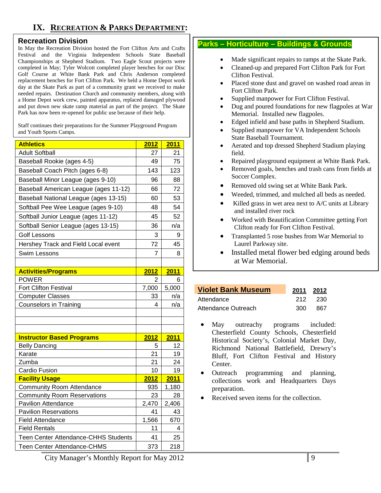# **IX. RECREATION & PARKS DEPARTMENT:**

#### **Recreation Division**

In May the Recreation Division hosted the Fort Clifton Arts and Crafts Festival and the Virginia Independent Schools State Baseball Championships at Shepherd Stadium. Two Eagle Scout projects were completed in May; Tyler Wolcott completed player benches for our Disc Golf Course at White Bank Park and Chris Anderson completed replacement benches for Fort Clifton Park. We held a Home Depot work day at the Skate Park as part of a community grant we received to make needed repairs. Destination Church and community members, along with a Home Depot work crew, painted apparatus, replaced damaged plywood and put down new skate ramp material as part of the project. The Skate Park has now been re-opened for public use because of their help.

Staff continues their preparations for the Summer Playground Program and Youth Sports Camps.

| <b>Athletics</b>                            | 2012           | 2011  |
|---------------------------------------------|----------------|-------|
| <b>Adult Softball</b>                       | 27             | 21    |
| Baseball Rookie (ages 4-5)                  | 49             | 75    |
| Baseball Coach Pitch (ages 6-8)             | 143            | 123   |
| Baseball Minor League (ages 9-10)           | 96             | 88    |
| Baseball American League (ages 11-12)       | 66             | 72    |
| Baseball National League (ages 13-15)       | 60             | 53    |
| Softball Pee Wee League (ages 9-10)         | 48             | 54    |
| Softball Junior League (ages 11-12)         | 45             | 52    |
| Softball Senior League (ages 13-15)         | 36             | n/a   |
| <b>Golf Lessons</b>                         | 3              | 9     |
| Hershey Track and Field Local event         | 72             | 45    |
| Swim Lessons                                | $\overline{7}$ | 8     |
|                                             |                |       |
| <b>Activities/Programs</b>                  | 2012           | 2011  |
| <b>POWER</b>                                | 2              | 6     |
| Fort Clifton Festival                       | 7,000          | 5,000 |
| <b>Computer Classes</b>                     | 33             | n/a   |
| <b>Counselors in Training</b>               | 4              | n/a   |
|                                             |                |       |
|                                             |                |       |
| <b>Instructor Based Programs</b>            | 2012           | 2011  |
| <b>Belly Dancing</b>                        | 5              | 12    |
| Karate                                      | 21             | 19    |
| Zumba                                       | 21             | 24    |
| Cardio Fusion                               | 10             | 19    |
| <b>Facility Usage</b>                       | 2012           | 2011  |
| <b>Community Room Attendance</b>            | 935            | 1,180 |
| <b>Community Room Reservations</b>          | 23             | 28    |
| <b>Pavilion Attendance</b>                  | 2,470          | 2,406 |
| <b>Pavilion Reservations</b>                | 41             | 43    |
| <b>Field Attendance</b>                     | 1,566          | 670   |
| <b>Field Rentals</b>                        | 11             | 4     |
| <b>Teen Center Attendance-CHHS Students</b> | 41             | 25    |
| Teen Center Attendance-CHMS                 | 373            | 218   |

#### **Parks – Horticulture – Buildings & Grounds**

- Made significant repairs to ramps at the Skate Park.
- Cleaned-up and prepared Fort Clifton Park for Fort Clifton Festival.
- Placed stone dust and gravel on washed road areas in Fort Clifton Park.
- Supplied manpower for Fort Clifton Festival.
- Dug and poured foundations for new flagpoles at War Memorial. Installed new flagpoles.
- Edged infield and base paths in Shepherd Stadium.
- Supplied manpower for VA Independent Schools State Baseball Tournament.
- Aerated and top dressed Shepherd Stadium playing field.
- Repaired playground equipment at White Bank Park.
- Removed goals, benches and trash cans from fields at Soccer Complex.
- Removed old swing set at White Bank Park.
- Weeded, trimmed, and mulched all beds as needed.
- Killed grass in wet area next to A/C units at Library and installed river rock
- Worked with Beautification Committee getting Fort Clifton ready for Fort Clifton Festival.
- Transplanted 5 rose bushes from War Memorial to Laurel Parkway site.
- Installed metal flower bed edging around beds at War Memorial.

# **Yiolet Bank Museum** Attendance 212 230

| , ,,,,,,,,,,,,,,,,  | - - -   | ---- |
|---------------------|---------|------|
| Attendance Outreach | 300 867 |      |
|                     |         |      |

- May outreachy programs included: Chesterfield County Schools, Chesterfield Historical Society's, Colonial Market Day, Richmond National Battlefield, Drewry's Bluff, Fort Clifton Festival and History Center.
- Outreach programming and planning, collections work and Headquarters Days preparation.
- Received seven items for the collection.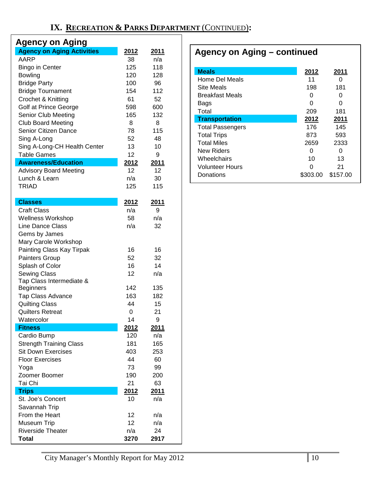| <b>Agency on Aging</b>            |             |                    |  |  |  |
|-----------------------------------|-------------|--------------------|--|--|--|
| <b>Agency on Aging Activities</b> | 2012        | 2011               |  |  |  |
| AARP                              | 38          | n/a                |  |  |  |
| Bingo in Center                   | 125         | 118                |  |  |  |
| Bowling                           | 120         | 128                |  |  |  |
| <b>Bridge Party</b>               | 100         | 96                 |  |  |  |
| <b>Bridge Tournament</b>          | 154         | 112                |  |  |  |
| Crochet & Knitting                | 61          | 52                 |  |  |  |
| Golf at Prince George             | 598         | 600                |  |  |  |
| Senior Club Meeting               | 165         | 132                |  |  |  |
| <b>Club Board Meeting</b>         | 8           | 8                  |  |  |  |
| Senior Citizen Dance              | 78          | 115                |  |  |  |
| Sing A-Long                       | 52          | 48                 |  |  |  |
| Sing A-Long-CH Health Center      | 13          | 10                 |  |  |  |
| <b>Table Games</b>                | 12          | 9                  |  |  |  |
| <b>Awareness/Education</b>        | 2012        | <u>2011</u>        |  |  |  |
| <b>Advisory Board Meeting</b>     | 12          | 12                 |  |  |  |
| Lunch & Learn                     | n/a         | 30                 |  |  |  |
| <b>TRIAD</b>                      | 125         | 115                |  |  |  |
| <b>Classes</b>                    | 2012        | <u>2011</u>        |  |  |  |
| <b>Craft Class</b>                | n/a         | 9                  |  |  |  |
| <b>Wellness Workshop</b>          | 58          | n/a                |  |  |  |
| <b>Line Dance Class</b>           | n/a         | 32                 |  |  |  |
| Gems by James                     |             |                    |  |  |  |
| Mary Carole Workshop              |             |                    |  |  |  |
| Painting Class Kay Tirpak         | 16          | 16                 |  |  |  |
| Painters Group                    | 52          | 32                 |  |  |  |
| Splash of Color                   | 16          | 14                 |  |  |  |
| <b>Sewing Class</b>               | 12          | n/a                |  |  |  |
| Tap Class Intermediate &          |             |                    |  |  |  |
| <b>Beginners</b>                  | 142         | 135                |  |  |  |
| <b>Tap Class Advance</b>          | 163         | 182                |  |  |  |
| <b>Quilting Class</b>             | 44          | 15                 |  |  |  |
| <b>Quilters Retreat</b>           | 0           | 21                 |  |  |  |
| Watercolor<br><b>Fitness</b>      | 14          | 9                  |  |  |  |
| Cardio Bump                       | 2012<br>120 | <u>2011</u><br>n/a |  |  |  |
| <b>Strength Training Class</b>    | 181         | 165                |  |  |  |
| Sit Down Exercises                | 403         | 253                |  |  |  |
| <b>Floor Exercises</b>            | 44          | 60                 |  |  |  |
| Yoga                              | 73          | 99                 |  |  |  |
| Zoomer Boomer                     | 190         | 200                |  |  |  |
| Tai Chi                           | 21          | 63                 |  |  |  |
| <b>Trips</b>                      | 2012        | 2011               |  |  |  |
| St. Joe's Concert                 | 10          | n/a                |  |  |  |
| Savannah Trip                     |             |                    |  |  |  |
| From the Heart                    | 12          | n/a                |  |  |  |
| Museum Trip                       | 12          | n/a                |  |  |  |
| <b>Riverside Theater</b>          | n/a         | 24                 |  |  |  |
| Total                             | 3270        | 2917               |  |  |  |

# **Agency on Aging – continued**

| <b>Meals</b>            | 2012     | 2011     |
|-------------------------|----------|----------|
| Home Del Meals          | 11       | O        |
| Site Meals              | 198      | 181      |
| Breakfast Meals         | 0        | O        |
| Bags                    | 0        | 0        |
| Total                   | 209      | 181      |
| <b>Transportation</b>   | 2012     | 2011     |
| <b>Total Passengers</b> | 176      | 145      |
| <b>Total Trips</b>      | 873      | 593      |
| <b>Total Miles</b>      | 2659     | 2333     |
| New Riders              | 0        | O        |
| Wheelchairs             | 10       | 13       |
| <b>Volunteer Hours</b>  | n        | 21       |
| Donations               | \$303.00 | \$157.00 |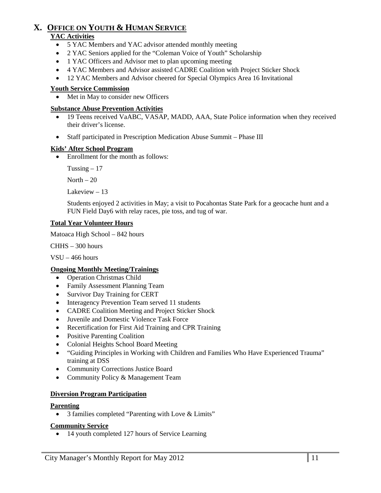# **X. OFFICE ON YOUTH & HUMAN SERVICE**

#### **YAC Activities**

- 5 YAC Members and YAC advisor attended monthly meeting
- 2 YAC Seniors applied for the "Coleman Voice of Youth" Scholarship
- 1 YAC Officers and Advisor met to plan upcoming meeting
- 4 YAC Members and Advisor assisted CADRE Coalition with Project Sticker Shock
- 12 YAC Members and Advisor cheered for Special Olympics Area 16 Invitational

#### **Youth Service Commission**

Met in May to consider new Officers

#### **Substance Abuse Prevention Activities**

- 19 Teens received VaABC, VASAP, MADD, AAA, State Police information when they received their driver's license.
- Staff participated in Prescription Medication Abuse Summit Phase III

#### **Kids' After School Program**

• Enrollment for the month as follows:

Tussing  $-17$ 

North  $-20$ 

Lakeview – 13

Students enjoyed 2 activities in May; a visit to Pocahontas State Park for a geocache hunt and a FUN Field Day6 with relay races, pie toss, and tug of war.

#### **Total Year Volunteer Hours**

Matoaca High School – 842 hours

CHHS – 300 hours

VSU – 466 hours

#### **Ongoing Monthly Meeting/Trainings**

- Operation Christmas Child
- Family Assessment Planning Team
- Survivor Day Training for CERT
- Interagency Prevention Team served 11 students
- CADRE Coalition Meeting and Project Sticker Shock
- Juvenile and Domestic Violence Task Force
- Recertification for First Aid Training and CPR Training
- Positive Parenting Coalition
- Colonial Heights School Board Meeting
- "Guiding Principles in Working with Children and Families Who Have Experienced Trauma" training at DSS
- Community Corrections Justice Board
- Community Policy & Management Team

#### **Diversion Program Participation**

#### **Parenting**

• 3 families completed "Parenting with Love & Limits"

#### **Community Service**

• 14 youth completed 127 hours of Service Learning